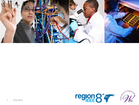

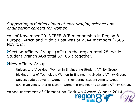*Supporting activities aimed at encouraging science and engineering careers for women.*

•As of November 2013 IEEE WIE membership in Region 8 – Europe, Africa and Middle East was at 2344 members (2565 Nov '12).

Section Affinity Groups (AGs) in the region total 28, while Student Branch AGs total 57, 85 altogether.

## New Affinity Groups

- University of Aberdeen Women in Engineering Student Affinity Group.
- Blekinge Inst of Technology, Women In Engineering Student Affinity Group.
- Universidade de Aveiro, Women In Engineering Student Affinity Group.
- ISCTE University Inst of Lisbon, Women in Engineering Student Affinity Group.

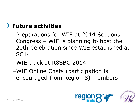## **Future activities**

–Preparations for WIE at 2014 Sections Congress – WIE is planning to host the 20th Celebration since WIE established at SC14

- –WIE track at R8SBC 2014
- –WIE Online Chats (participation is encouraged from Region 8) members

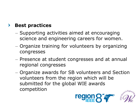## **Best practices**  $\blacktriangleright$

- Supporting activities aimed at encouraging science and engineering careers for women.
- Organize training for volunteers by organizing congresses
- Presence at student congresses and at annual regional congresses
- Organize awards for SB volunteers and Section volunteers from the region which will be submitted for the global WIE awards competition